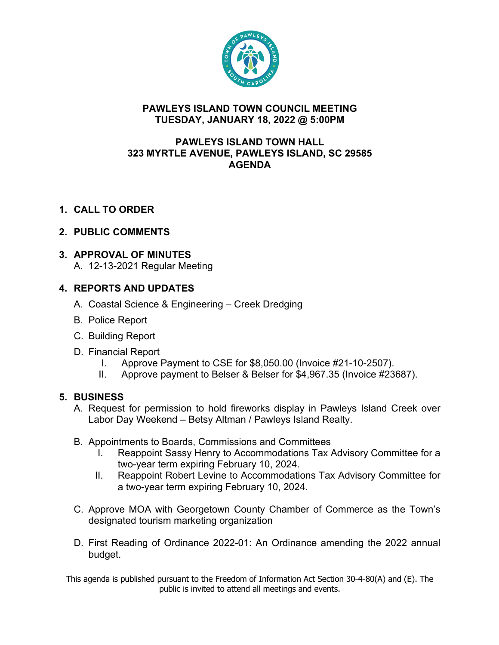

#### **PAWLEYS ISLAND TOWN COUNCIL MEETING TUESDAY, JANUARY 18, 2022 @ 5:00PM**

#### **PAWLEYS ISLAND TOWN HALL 323 MYRTLE AVENUE, PAWLEYS ISLAND, SC 29585 AGENDA**

**1. CALL TO ORDER**

## **2. PUBLIC COMMENTS**

#### **3. APPROVAL OF MINUTES**

A. 12-13-2021 Regular Meeting

## **4. REPORTS AND UPDATES**

- A. Coastal Science & Engineering Creek Dredging
- B. Police Report
- C. Building Report
- D. Financial Report
	- I. Approve Payment to CSE for \$8,050.00 (Invoice #21-10-2507).
	- II. Approve payment to Belser & Belser for \$4,967.35 (Invoice #23687).

#### **5. BUSINESS**

- A. Request for permission to hold fireworks display in Pawleys Island Creek over Labor Day Weekend – Betsy Altman / Pawleys Island Realty.
- B. Appointments to Boards, Commissions and Committees
	- I. Reappoint Sassy Henry to Accommodations Tax Advisory Committee for a two-year term expiring February 10, 2024.
	- II. Reappoint Robert Levine to Accommodations Tax Advisory Committee for a two-year term expiring February 10, 2024.
- C. Approve MOA with Georgetown County Chamber of Commerce as the Town's designated tourism marketing organization
- D. First Reading of Ordinance 2022-01: An Ordinance amending the 2022 annual budget.

This agenda is published pursuant to the Freedom of Information Act Section 30-4-80(A) and (E). The public is invited to attend all meetings and events.